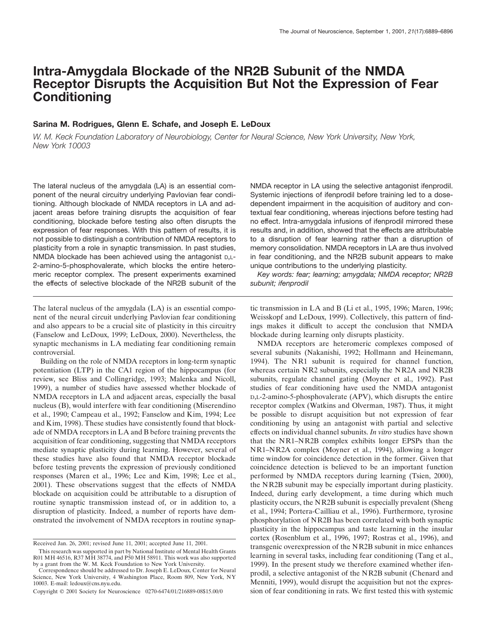# **Intra-Amygdala Blockade of the NR2B Subunit of the NMDA Receptor Disrupts the Acquisition But Not the Expression of Fear Conditioning**

# **Sarina M. Rodrigues, Glenn E. Schafe, and Joseph E. LeDoux**

*W. M. Keck Foundation Laboratory of Neurobiology, Center for Neural Science, New York University, New York, New York 10003*

The lateral nucleus of the amygdala (LA) is an essential component of the neural circuitry underlying Pavlovian fear conditioning. Although blockade of NMDA receptors in LA and adjacent areas before training disrupts the acquisition of fear conditioning, blockade before testing also often disrupts the expression of fear responses. With this pattern of results, it is not possible to distinguish a contribution of NMDA receptors to plasticity from a role in synaptic transmission. In past studies, NMDA blockade has been achieved using the antagonist D,L-2-amino-5-phosphovalerate, which blocks the entire heteromeric receptor complex. The present experiments examined the effects of selective blockade of the NR2B subunit of the

The lateral nucleus of the amygdala (LA) is an essential component of the neural circuit underlying Pavlovian fear conditioning and also appears to be a crucial site of plasticity in this circuitry (Fanselow and LeDoux, 1999; LeDoux, 2000). Nevertheless, the synaptic mechanisms in LA mediating fear conditioning remain controversial.

Building on the role of NMDA receptors in long-term synaptic potentiation (LTP) in the CA1 region of the hippocampus (for review, see Bliss and Collingridge, 1993; Malenka and Nicoll, 1999), a number of studies have assessed whether blockade of NMDA receptors in LA and adjacent areas, especially the basal nucleus (B), would interfere with fear conditioning (Miserendino et al., 1990; Campeau et al., 1992; Fanselow and Kim, 1994; Lee and Kim, 1998). These studies have consistently found that blockade of NMDA receptors in LA and B before training prevents the acquisition of fear conditioning, suggesting that NMDA receptors mediate synaptic plasticity during learning. However, several of these studies have also found that NMDA receptor blockade before testing prevents the expression of previously conditioned responses (Maren et al., 1996; Lee and Kim, 1998; Lee et al., 2001). These observations suggest that the effects of NMDA blockade on acquisition could be attributable to a disruption of routine synaptic transmission instead of, or in addition to, a disruption of plasticity. Indeed, a number of reports have demonstrated the involvement of NMDA receptors in routine synapNMDA receptor in LA using the selective antagonist ifenprodil. Systemic injections of ifenprodil before training led to a dosedependent impairment in the acquisition of auditory and contextual fear conditioning, whereas injections before testing had no effect. Intra-amygdala infusions of ifenprodil mirrored these results and, in addition, showed that the effects are attributable to a disruption of fear learning rather than a disruption of memory consolidation. NMDA receptors in LA are thus involved in fear conditioning, and the NR2B subunit appears to make unique contributions to the underlying plasticity.

*Key words: fear; learning; amygdala; NMDA receptor; NR2B subunit; ifenprodil*

tic transmission in LA and B (Li et al., 1995, 1996; Maren, 1996; Weisskopf and LeDoux, 1999). Collectively, this pattern of findings makes it difficult to accept the conclusion that NMDA blockade during learning only disrupts plasticity.

NMDA receptors are heteromeric complexes composed of several subunits (Nakanishi, 1992; Hollmann and Heinemann, 1994). The NR1 subunit is required for channel function, whereas certain NR2 subunits, especially the NR2A and NR2B subunits, regulate channel gating (Moyner et al., 1992). Past studies of fear conditioning have used the NMDA antagonist D,L-2-amino-5-phosphovalerate (APV), which disrupts the entire receptor complex (Watkins and Olverman, 1987). Thus, it might be possible to disrupt acquisition but not expression of fear conditioning by using an antagonist with partial and selective effects on individual channel subunits. *In vitro* studies have shown that the NR1–NR2B complex exhibits longer EPSPs than the NR1–NR2A complex (Moyner et al., 1994), allowing a longer time window for coincidence detection in the former. Given that coincidence detection is believed to be an important function performed by NMDA receptors during learning (Tsien, 2000), the NR2B subunit may be especially important during plasticity. Indeed, during early development, a time during which much plasticity occurs, the NR2B subunit is especially prevalent (Sheng et al., 1994; Portera-Cailliau et al., 1996). Furthermore, tyrosine phosphorylation of NR2B has been correlated with both synaptic plasticity in the hippocampus and taste learning in the insular cortex (Rosenblum et al., 1996, 1997; Rostras et al., 1996), and transgenic overexpression of the NR2B subunit in mice enhances learning in several tasks, including fear conditioning (Tang et al., 1999). In the present study we therefore examined whether ifenprodil, a selective antagonist of the NR2B subunit (Chenard and Menniti, 1999), would disrupt the acquisition but not the expression of fear conditioning in rats. We first tested this with systemic

Received Jan. 26, 2001; revised June 11, 2001; accepted June 11, 2001.

This research was supported in part by National Institute of Mental Health Grants R01 MH 46516, R37 MH 38774, and P50 MH 58911. This work was also supported by a grant from the W. M. Keck Foundation to New York University.

Correspondence should be addressed to Dr. Joseph E. LeDoux, Center for Neural Science, New York University, 4 Washington Place, Room 809, New York, NY 10003. E-mail: ledoux@cns.nyu.edu.

Copyright © 2001 Society for Neuroscience 0270-6474/01/216889-08\$15.00/0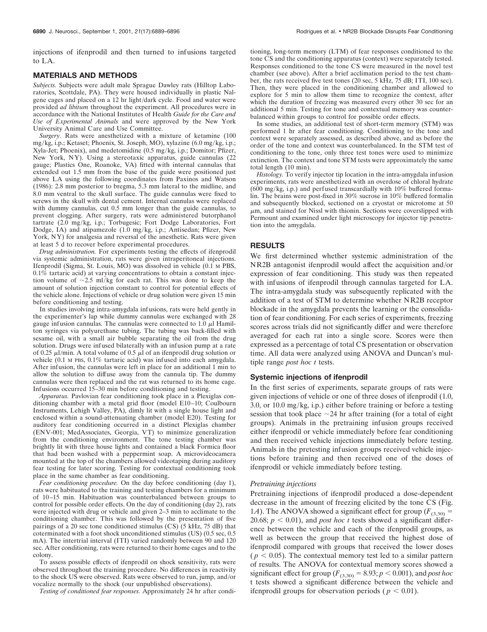injections of ifenprodil and then turned to infusions targeted to LA.

### **MATERIALS AND METHODS**

*Subjects.* Subjects were adult male Sprague Dawley rats (Hilltop Laboratories, Scottdale, PA). They were housed individually in plastic Nalgene cages and placed on a 12 hr light/dark cycle. Food and water were provided *ad libitum* throughout the experiment. All procedures were in accordance with the National Institutes of Health *Guide for the Care and Use of Experimental Animals* and were approved by the New York University Animal Care and Use Committee.

*Surgery*. Rats were anesthetized with a mixture of ketamine (100 mg/kg, i.p.; Ketaset; Phoenix, St. Joseph, MO), xylazine (6.0 mg/kg, i.p.; Xyla-Jet; Phoenix), and medetomidine (0.5 mg/kg, i.p.; Domitor; Pfizer, New York, NY). Using a stereotaxic apparatus, guide cannulas (22 gauge; Plastics One, Roanoke, VA) fitted with internal cannulas that extended out 1.5 mm from the base of the guide were positioned just above LA using the following coordinates from Paxinos and Watson (1986): 2.8 mm posterior to bregma, 5.3 mm lateral to the midline, and 8.0 mm ventral to the skull surface. The guide cannulas were fixed to screws in the skull with dental cement. Internal cannulas were replaced with dummy cannulas, cut 0.5 mm longer than the guide cannulas, to prevent clogging. After surgery, rats were administered butorphanol tartrate (2.0 mg/kg, i.p.; Torbugesic; Fort Dodge Laboratories, Fort Dodge, IA) and atipamezole (1.0 mg/kg, i.p.; Antisedan; Pfizer, New York, NY) for analgesia and reversal of the anesthetic. Rats were given at least 5 d to recover before experimental procedures.

*Drug administration.* For experiments testing the effects of ifenprodil via systemic administration, rats were given intraperitoneal injections. Ifenprodil (Sigma, St. Louis, MO) was dissolved in vehicle (0.1 M PBS,  $0.1\%$  tartaric acid) at varying concentrations to obtain a constant injection volume of  $\sim 2.5$  ml/kg for each rat. This was done to keep the amount of solution injection constant to control for potential effects of the vehicle alone. Injections of vehicle or drug solution were given 15 min before conditioning and testing.

In studies involving intra-amygdala infusions, rats were held gently in the experimenter's lap while dummy cannulas were exchanged with 28 gauge infusion cannulas. The cannulas were connected to 1.0  $\mu$ l Hamilton syringes via polyurethane tubing. The tubing was back-filled with sesame oil, with a small air bubble separating the oil from the drug solution. Drugs were infused bilaterally with an infusion pump at a rate of 0.25  $\mu$ l/min. A total volume of 0.5  $\mu$ l of an ifenprodil drug solution or vehicle (0.1 M PBS, 0.1% tartaric acid) was infused into each amygdala. After infusion, the cannulas were left in place for an additional 1 min to allow the solution to diffuse away from the cannula tip. The dummy cannulas were then replaced and the rat was returned to its home cage. Infusions occurred 15–30 min before conditioning and testing.

*Apparatus.* Pavlovian fear conditioning took place in a Plexiglas conditioning chamber with a metal grid floor (model E10–10; Coulbourn Instruments, Lehigh Valley, PA), dimly lit with a single house light and enclosed within a sound-attenuating chamber (model E20). Testing for auditory fear conditioning occurred in a distinct Plexiglas chamber (ENV-001; MedAssociates, Georgia, VT) to minimize generalization from the conditioning environment. The tone testing chamber was brightly lit with three house lights and contained a black Formica floor that had been washed with a peppermint soap. A microvideocamera mounted at the top of the chambers allowed videotaping during auditory fear testing for later scoring. Testing for contextual conditioning took place in the same chamber as fear conditioning.

*Fear conditioning procedure.* On the day before conditioning (day 1), rats were habituated to the training and testing chambers for a minimum of 10–15 min. Habituation was counterbalanced between groups to control for possible order effects. On the day of conditioning (day 2), rats were injected with drug or vehicle and given 2–3 min to acclimate to the conditioning chamber. This was followed by the presentation of five pairings of a 20 sec tone conditioned stimulus (CS) (5 kHz, 75 dB) that coterminated with a foot shock unconditioned stimulus (US) (0.5 sec, 0.5 mA). The intertrial interval (ITI) varied randomly between 90 and 120 sec. After conditioning, rats were returned to their home cages and to the colony.

To assess possible effects of ifenprodil on shock sensitivity, rats were observed throughout the training procedure. No differences in reactivity to the shock US were observed. Rats were observed to run, jump, and/or vocalize normally to the shock (our unpublished observations).

*Testing of conditioned fear responses.* Approximately 24 hr after condi-

tioning, long-term memory (LTM) of fear responses conditioned to the tone CS and the conditioning apparatus (context) were separately tested. Responses conditioned to the tone CS were measured in the novel test chamber (see above). After a brief acclimation period to the test chamber, the rats received five test tones  $(20 \text{ sec}, 5 \text{ kHz}, 75 \text{ dB}; \text{TTI}, 100 \text{ sec})$ . Then, they were placed in the conditioning chamber and allowed to explore for 5 min to allow them time to recognize the context, after which the duration of freezing was measured every other 30 sec for an additional 5 min. Testing for tone and contextual memory was counterbalanced within groups to control for possible order effects.

In some studies, an additional test of short-term memory (STM) was performed 1 hr after fear conditioning. Conditioning to the tone and context were separately assessed, as described above, and as before the order of the tone and context was counterbalanced. In the STM test of conditioning to the tone, only three test tones were used to minimize extinction. The context and tone STM tests were approximately the same total length (10 min).

*Histology.* To verify injector tip location in the intra-amygdala infusion experiments, rats were anesthetized with an overdose of chloral hydrate (600 mg/kg, i.p.) and perfused transcardially with 10% buffered formalin. The brains were post-fixed in 30% sucrose in 10% buffered formalin and subsequently blocked, sectioned on a cryostat or microtome at 50  $\mu$ m, and stained for Nissl with thionin. Sections were coverslipped with Permount and examined under light microscopy for injector tip penetration into the amygdala.

#### **RESULTS**

We first determined whether systemic administration of the NR2B antagonist ifenprodil would affect the acquisition and/or expression of fear conditioning. This study was then repeated with infusions of ifenprodil through cannulas targeted for LA. The intra-amygdala study was subsequently replicated with the addition of a test of STM to determine whether NR2B receptor blockade in the amygdala prevents the learning or the consolidation of fear conditioning. For each series of experiments, freezing scores across trials did not significantly differ and were therefore averaged for each rat into a single score. Scores were then expressed as a percentage of total CS presentation or observation time. All data were analyzed using ANOVA and Duncan's multiple range *post hoc t* tests.

#### **Systemic injections of ifenprodil**

In the first series of experiments, separate groups of rats were given injections of vehicle or one of three doses of ifenprodil (1.0, 3.0, or 10.0 mg/kg, i.p.) either before training or before a testing session that took place  $\sim$  24 hr after training (for a total of eight groups). Animals in the pretraining infusion groups received either ifenprodil or vehicle immediately before fear conditioning and then received vehicle injections immediately before testing. Animals in the pretesting infusion groups received vehicle injections before training and then received one of the doses of ifenprodil or vehicle immediately before testing.

#### *Pretraining injections*

Pretraining injections of ifenprodil produced a dose-dependent decrease in the amount of freezing elicited by the tone CS (Fig. 1*A*). The ANOVA showed a significant effect for group ( $F_{(3,30)}$  = 20.68;  $p < 0.01$ ), and *post hoc t* tests showed a significant difference between the vehicle and each of the ifenprodil groups, as well as between the group that received the highest dose of ifenprodil compared with groups that received the lower doses  $(p < 0.05)$ . The contextual memory test led to a similar pattern of results. The ANOVA for contextual memory scores showed a significant effect for group ( $F_{(3,30)} = 8.93$ ;  $p < 0.001$ ), and *post hoc* t tests showed a significant difference between the vehicle and ifenprodil groups for observation periods ( $p < 0.01$ ).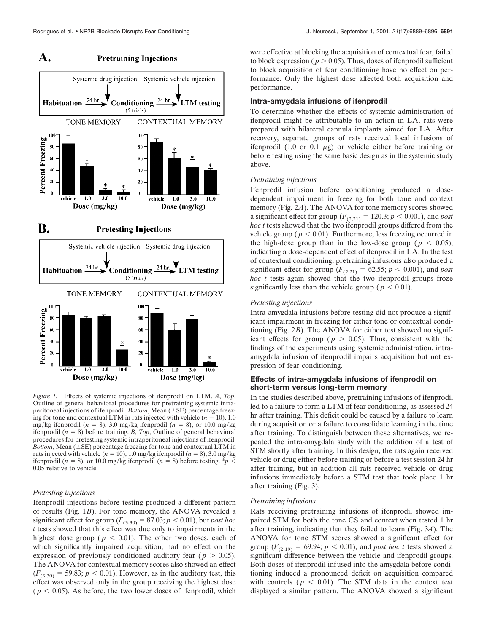#### Systemic drug injection Systemic vehicle injection **Habituation**  $\frac{24 \text{ hr}}{4}$ Conditioning  $\frac{24 \text{ hr}}{24}$ **LTM** testing  $(5 \text{ trials})$ **CONTEXTUAL MEMORY TONE MEMORY** 100 Percent Freezing  $\overline{\mathbf{M}}$ 80 60 40 40  $20$  $20$  $\overline{a}$  $\theta$ vehicle  $1.0$  $3.0$  $10.0$  $10.0$ vehicle  $1.0$  $3.0$ Dose (mg/kg) Dose (mg/kg) **B. Pretesting Injections** Systemic vehicle injection Systemic drug injection Habituation  $\frac{24 \text{ hr}}{24 \text{ hr}}$  $24$  hr.  $\mathbf{C}$ onditioning **LTM** testing (5 trials) CONTEXTUAL MEMORY **TONE MEMORY** 100 100

#### A. **Pretraining Injections**



*Figure 1.* Effects of systemic injections of ifenprodil on LTM. *A*, *Top*, Outline of general behavioral procedures for pretraining systemic intraperitoneal injections of ifenprodil. *Bottom*, Mean  $(\pm SE)$  percentage freezing for tone and contextual LTM in rats injected with vehicle  $(n = 10)$ , 1.0 mg/kg ifenprodil  $(n = 8)$ , 3.0 mg/kg ifenprodil  $(n = 8)$ , or 10.0 mg/kg ifenprodil  $(n = 8)$  before training. *B*, *Top*, Outline of general behavioral procedures for pretesting systemic intraperitoneal injections of ifenprodil. *Bottom*, Mean  $(\pm SE)$  percentage freezing for tone and contextual LTM in rats injected with vehicle  $(n = 10)$ , 1.0 mg/kg ifenprodil  $(n = 8)$ , 3.0 mg/kg ifenprodil ( $n = 8$ ), or 10.0 mg/kg ifenprodil ( $n = 8$ ) before testing. \* $p <$ 0.05 relative to vehicle.

# *Pretesting injections*

Ifenprodil injections before testing produced a different pattern of results (Fig. 1*B*). For tone memory, the ANOVA revealed a significant effect for group ( $F_{(3,30)} = 87.03$ ;  $p < 0.01$ ), but *post hoc t* tests showed that this effect was due only to impairments in the highest dose group ( $p < 0.01$ ). The other two doses, each of which significantly impaired acquisition, had no effect on the expression of previously conditioned auditory fear ( $p > 0.05$ ). The ANOVA for contextual memory scores also showed an effect  $(F_{(3,30)} = 59.83; p < 0.01)$ . However, as in the auditory test, this effect was observed only in the group receiving the highest dose  $(p < 0.05)$ . As before, the two lower doses of ifenprodil, which

were effective at blocking the acquisition of contextual fear, failed to block expression ( $p > 0.05$ ). Thus, doses of ifenprodil sufficient to block acquisition of fear conditioning have no effect on performance. Only the highest dose affected both acquisition and performance.

# **Intra-amygdala infusions of ifenprodil**

To determine whether the effects of systemic administration of ifenprodil might be attributable to an action in LA, rats were prepared with bilateral cannula implants aimed for LA. After recovery, separate groups of rats received local infusions of ifenprodil (1.0 or 0.1  $\mu$ g) or vehicle either before training or before testing using the same basic design as in the systemic study above.

#### *Pretraining injections*

Ifenprodil infusion before conditioning produced a dosedependent impairment in freezing for both tone and context memory (Fig. 2*A*). The ANOVA for tone memory scores showed a significant effect for group ( $F_{(2,21)} = 120.3; p < 0.001$ ), and *post hoc t* tests showed that the two ifenprodil groups differed from the vehicle group ( $p < 0.01$ ). Furthermore, less freezing occurred in the high-dose group than in the low-dose group ( $p < 0.05$ ), indicating a dose-dependent effect of ifenprodil in LA. In the test of contextual conditioning, pretraining infusions also produced a significant effect for group ( $F_{(2,21)} = 62.55$ ;  $p < 0.001$ ), and *post hoc t* tests again showed that the two ifenprodil groups froze significantly less than the vehicle group ( $p < 0.01$ ).

## *Pretesting injections*

Intra-amygdala infusions before testing did not produce a significant impairment in freezing for either tone or contextual conditioning (Fig. 2*B*). The ANOVA for either test showed no significant effects for group ( $p > 0.05$ ). Thus, consistent with the findings of the experiments using systemic administration, intraamygdala infusion of ifenprodil impairs acquisition but not expression of fear conditioning.

# **Effects of intra-amygdala infusions of ifenprodil on short-term versus long-term memory**

In the studies described above, pretraining infusions of ifenprodil led to a failure to form a LTM of fear conditioning, as assessed 24 hr after training. This deficit could be caused by a failure to learn during acquisition or a failure to consolidate learning in the time after training. To distinguish between these alternatives, we repeated the intra-amygdala study with the addition of a test of STM shortly after training. In this design, the rats again received vehicle or drug either before training or before a test session 24 hr after training, but in addition all rats received vehicle or drug infusions immediately before a STM test that took place 1 hr after training (Fig. 3).

# *Pretraining infusions*

Rats receiving pretraining infusions of ifenprodil showed impaired STM for both the tone CS and context when tested 1 hr after training, indicating that they failed to learn (Fig. 3*A*). The ANOVA for tone STM scores showed a significant effect for group ( $F_{(2,19)} = 69.94$ ;  $p < 0.01$ ), and *post hoc t* tests showed a significant difference between the vehicle and ifenprodil groups. Both doses of ifenprodil infused into the amygdala before conditioning induced a pronounced deficit on acquisition compared with controls ( $p < 0.01$ ). The STM data in the context test displayed a similar pattern. The ANOVA showed a significant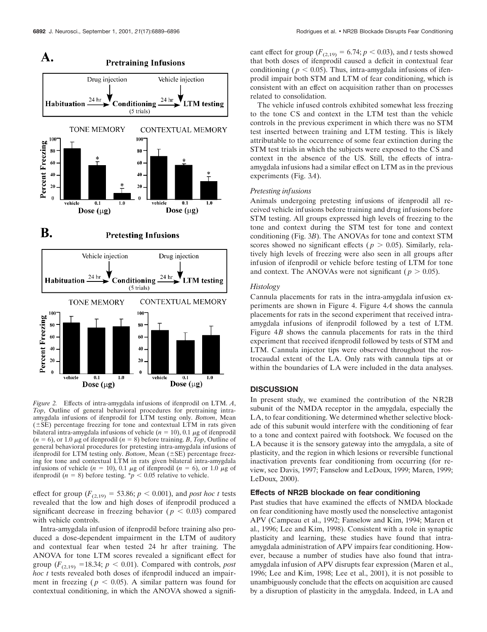

*Figure 2.* Effects of intra-amygdala infusions of ifenprodil on LTM. *A*, *Top*, Outline of general behavioral procedures for pretraining intraamygdala infusions of ifenprodil for LTM testing only. *Bottom*, Mean  $(\pm SE)$  percentage freezing for tone and contextual LTM in rats given bilateral intra-amygdala infusions of vehicle  $(n = 10)$ , 0.1  $\mu$ g of ifenprodil  $(n = 6)$ , or 1.0  $\mu$ g of ifenprodil  $(n = 8)$  before training. *B*, *Top*, Outline of general behavioral procedures for pretesting intra-amygdala infusions of ifenprodil for LTM testing only. *Bottom*, Mean ( $\pm$ SE) percentage freezing for tone and contextual LTM in rats given bilateral intra-amygdala infusions of vehicle  $(n = 10)$ , 0.1  $\mu$ g of ifenprodil  $(n = 6)$ , or 1.0  $\mu$ g of ifenprodil  $(n = 8)$  before testing.  $p < 0.05$  relative to vehicle.

effect for group ( $F_{(2,19)} = 53.86$ ;  $p < 0.001$ ), and *post hoc t* tests revealed that the low and high doses of ifenprodil produced a significant decrease in freezing behavior ( $p < 0.03$ ) compared with vehicle controls.

Intra-amygdala infusion of ifenprodil before training also produced a dose-dependent impairment in the LTM of auditory and contextual fear when tested 24 hr after training. The ANOVA for tone LTM scores revealed a significant effect for group  $(F_{(2,19)} = 18.34; p < 0.01)$ . Compared with controls, *post hoc t* tests revealed both doses of ifenprodil induced an impairment in freezing ( $p < 0.05$ ). A similar pattern was found for contextual conditioning, in which the ANOVA showed a signifi-

cant effect for group ( $F_{(2,19)} = 6.74; p < 0.03$ ), and *t* tests showed that both doses of ifenprodil caused a deficit in contextual fear conditioning ( $p < 0.05$ ). Thus, intra-amygdala infusions of ifenprodil impair both STM and LTM of fear conditioning, which is consistent with an effect on acquisition rather than on processes related to consolidation.

The vehicle infused controls exhibited somewhat less freezing to the tone CS and context in the LTM test than the vehicle controls in the previous experiment in which there was no STM test inserted between training and LTM testing. This is likely attributable to the occurrence of some fear extinction during the STM test trials in which the subjects were exposed to the CS and context in the absence of the US. Still, the effects of intraamygdala infusions had a similar effect on LTM as in the previous experiments (Fig. 3*A*).

### *Pretesting infusions*

Animals undergoing pretesting infusions of ifenprodil all received vehicle infusions before training and drug infusions before STM testing. All groups expressed high levels of freezing to the tone and context during the STM test for tone and context conditioning (Fig. 3*B*). The ANOVAs for tone and context STM scores showed no significant effects ( $p > 0.05$ ). Similarly, relatively high levels of freezing were also seen in all groups after infusion of ifenprodil or vehicle before testing of LTM for tone and context. The ANOVAs were not significant ( $p > 0.05$ ).

#### *Histology*

Cannula placements for rats in the intra-amygdala infusion experiments are shown in Figure 4. Figure 4*A* shows the cannula placements for rats in the second experiment that received intraamygdala infusions of ifenprodil followed by a test of LTM. Figure 4*B* shows the cannula placements for rats in the third experiment that received ifenprodil followed by tests of STM and LTM. Cannula injector tips were observed throughout the rostrocaudal extent of the LA. Only rats with cannula tips at or within the boundaries of LA were included in the data analyses.

#### **DISCUSSION**

In present study, we examined the contribution of the NR2B subunit of the NMDA receptor in the amygdala, especially the LA, to fear conditioning. We determined whether selective blockade of this subunit would interfere with the conditioning of fear to a tone and context paired with footshock. We focused on the LA because it is the sensory gateway into the amygdala, a site of plasticity, and the region in which lesions or reversible functional inactivation prevents fear conditioning from occurring (for review, see Davis, 1997; Fanselow and LeDoux, 1999; Maren, 1999; LeDoux, 2000).

# **Effects of NR2B blockade on fear conditioning**

Past studies that have examined the effects of NMDA blockade on fear conditioning have mostly used the nonselective antagonist APV (Campeau et al., 1992; Fanselow and Kim, 1994; Maren et al., 1996; Lee and Kim, 1998). Consistent with a role in synaptic plasticity and learning, these studies have found that intraamygdala administration of APV impairs fear conditioning. However, because a number of studies have also found that intraamygdala infusion of APV disrupts fear expression (Maren et al., 1996; Lee and Kim, 1998; Lee et al., 2001), it is not possible to unambiguously conclude that the effects on acquisition are caused by a disruption of plasticity in the amygdala. Indeed, in LA and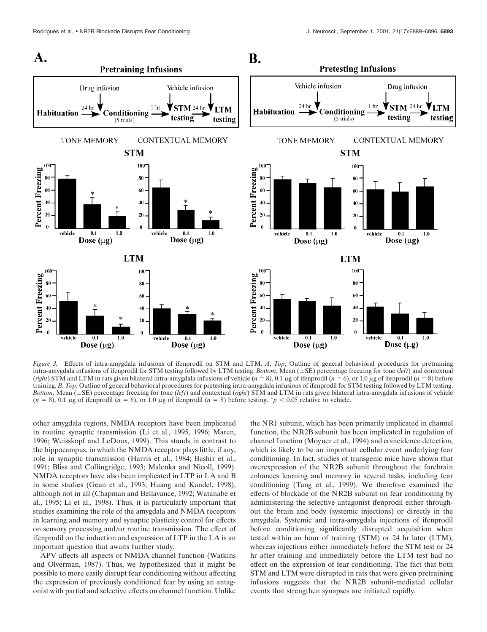

*Figure 3.* Effects of intra-amygdala infusions of ifenprodil on STM and LTM. *A*, *Top*, Outline of general behavioral procedures for pretraining intra-amygdala infusions of ifenprodil for STM testing followed by LTM testing. *Bottom*, Mean  $(\pm SE)$  percentage freezing for tone (*left*) and contextual (*right*) STM and LTM in rats given bilateral intra-amygdala infusions of vehicle  $(n = 8)$ , 0.1  $\mu$ g of ifenprodil  $(n = 6)$ , or 1.0  $\mu$ g of ifenprodil  $(n = 8)$  before training. *B*, *Top*, Outline of general behavioral procedures for pretesting intra-amygdala infusions of ifenprodil for STM testing followed by LTM testing. *Bottom*, Mean ( $\pm$ SE) percentage freezing for tone (*left*) and contextual (*right*) STM and LTM in rats given bilateral intra-amygdala infusions of vehicle  $(n = 8)$ , 0.1  $\mu$ g of ifenprodil  $(n = 6)$ , or 1.0  $\mu$ g of ifenprodil  $(n = 8)$  before testing. \**p* < 0.05 relative to vehicle.

other amygdala regions, NMDA receptors have been implicated in routine synaptic transmission (Li et al., 1995, 1996; Maren, 1996; Weisskopf and LeDoux, 1999). This stands in contrast to the hippocampus, in which the NMDA receptor plays little, if any, role in synaptic transmission (Harris et al., 1984; Bashir et al., 1991; Bliss and Collingridge, 1993; Malenka and Nicoll, 1999). NMDA receptors have also been implicated in LTP in LA and B in some studies (Gean et al., 1993; Huang and Kandel, 1998), although not in all (Chapman and Bellavance, 1992; Watanabe et al., 1995; Li et al., 1998). Thus, it is particularly important that studies examining the role of the amygdala and NMDA receptors in learning and memory and synaptic plasticity control for effects on sensory processing and/or routine transmission. The effect of ifenprodil on the induction and expression of LTP in the LA is an important question that awaits further study.

APV affects all aspects of NMDA channel function (Watkins and Olverman, 1987). Thus, we hypothesized that it might be possible to more easily disrupt fear conditioning without affecting the expression of previously conditioned fear by using an antagonist with partial and selective effects on channel function. Unlike

the NR1 subunit, which has been primarily implicated in channel function, the NR2B subunit has been implicated in regulation of channel function (Moyner et al., 1994) and coincidence detection, which is likely to be an important cellular event underlying fear conditioning. In fact, studies of transgenic mice have shown that overexpression of the NR2B subunit throughout the forebrain enhances learning and memory in several tasks, including fear conditioning (Tang et al., 1999). We therefore examined the effects of blockade of the NR2B subunit on fear conditioning by administering the selective antagonist ifenprodil either throughout the brain and body (systemic injections) or directly in the amygdala. Systemic and intra-amygdala injections of ifenprodil before conditioning significantly disrupted acquisition when tested within an hour of training (STM) or 24 hr later (LTM), whereas injections either immediately before the STM test or 24 hr after training and immediately before the LTM test had no effect on the expression of fear conditioning. The fact that both STM and LTM were disrupted in rats that were given pretraining infusions suggests that the NR2B subunit-mediated cellular events that strengthen synapses are initiated rapidly.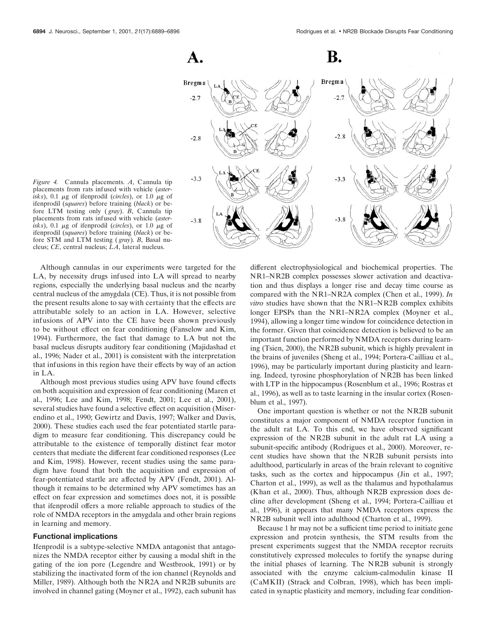

*Figure 4.* Cannula placements. *A*, Cannula tip placements from rats infused with vehicle (*aster* $i$ sks), 0.1  $\mu$ g of ifenprodil (*circles*), or 1.0  $\mu$ g of ifenprodil (*squares*) before training (*black*) or before LTM testing only ( *gray*). *B*, Cannula tip placements from rats infused with vehicle (*aster* $i$ sks), 0.1  $\mu$ g of ifenprodil (*circles*), or 1.0  $\mu$ g of ifenprodil (*squares*) before training (*black*) or before STM and LTM testing ( *gray*). *B*, Basal nucleus; *CE*, central nucleus; *LA*, lateral nucleus.

Although cannulas in our experiments were targeted for the LA, by necessity drugs infused into LA will spread to nearby regions, especially the underlying basal nucleus and the nearby central nucleus of the amygdala (CE). Thus, it is not possible from the present results alone to say with certainty that the effects are attributable solely to an action in LA. However, selective infusions of APV into the CE have been shown previously to be without effect on fear conditioning (Fanselow and Kim, 1994). Furthermore, the fact that damage to LA but not the basal nucleus disrupts auditory fear conditioning (Majidashad et al., 1996; Nader et al., 2001) is consistent with the interpretation that infusions in this region have their effects by way of an action in LA.

Although most previous studies using APV have found effects on both acquisition and expression of fear conditioning (Maren et al., 1996; Lee and Kim, 1998; Fendt, 2001; Lee et al., 2001), several studies have found a selective effect on acquisition (Miserendino et al., 1990; Gewirtz and Davis, 1997; Walker and Davis, 2000). These studies each used the fear potentiated startle paradigm to measure fear conditioning. This discrepancy could be attributable to the existence of temporally distinct fear motor centers that mediate the different fear conditioned responses (Lee and Kim, 1998). However, recent studies using the same paradigm have found that both the acquisition and expression of fear-potentiated startle are affected by APV (Fendt, 2001). Although it remains to be determined why APV sometimes has an effect on fear expression and sometimes does not, it is possible that ifenprodil offers a more reliable approach to studies of the role of NMDA receptors in the amygdala and other brain regions in learning and memory.

#### **Functional implications**

Ifenprodil is a subtype-selective NMDA antagonist that antagonizes the NMDA receptor either by causing a modal shift in the gating of the ion pore (Legendre and Westbrook, 1991) or by stabilizing the inactivated form of the ion channel (Reynolds and Miller, 1989). Although both the NR2A and NR2B subunits are involved in channel gating (Moyner et al., 1992), each subunit has different electrophysiological and biochemical properties. The NR1–NR2B complex possesses slower activation and deactivation and thus displays a longer rise and decay time course as compared with the NR1–NR2A complex (Chen et al., 1999). *In vitro* studies have shown that the NR1–NR2B complex exhibits longer EPSPs than the NR1–NR2A complex (Moyner et al., 1994), allowing a longer time window for coincidence detection in the former. Given that coincidence detection is believed to be an important function performed by NMDA receptors during learning (Tsien, 2000), the NR2B subunit, which is highly prevalent in the brains of juveniles (Sheng et al., 1994; Portera-Cailliau et al., 1996), may be particularly important during plasticity and learning. Indeed, tyrosine phosphorylation of NR2B has been linked with LTP in the hippocampus (Rosenblum et al., 1996; Rostras et al., 1996), as well as to taste learning in the insular cortex (Rosenblum et al., 1997).

One important question is whether or not the NR2B subunit constitutes a major component of NMDA receptor function in the adult rat LA. To this end, we have observed significant expression of the NR2B subunit in the adult rat LA using a subunit-specific antibody (Rodrigues et al., 2000). Moreover, recent studies have shown that the NR2B subunit persists into adulthood, particularly in areas of the brain relevant to cognitive tasks, such as the cortex and hippocampus (Jin et al., 1997; Charton et al., 1999), as well as the thalamus and hypothalamus (Khan et al., 2000). Thus, although NR2B expression does decline after development (Sheng et al., 1994; Portera-Cailliau et al., 1996), it appears that many NMDA receptors express the NR2B subunit well into adulthood (Charton et al., 1999).

Because 1 hr may not be a sufficient time period to initiate gene expression and protein synthesis, the STM results from the present experiments suggest that the NMDA receptor recruits constitutively expressed molecules to fortify the synapse during the initial phases of learning. The NR2B subunit is strongly associated with the enzyme calcium-calmodulin kinase II (CaMKII) (Strack and Colbran, 1998), which has been implicated in synaptic plasticity and memory, including fear condition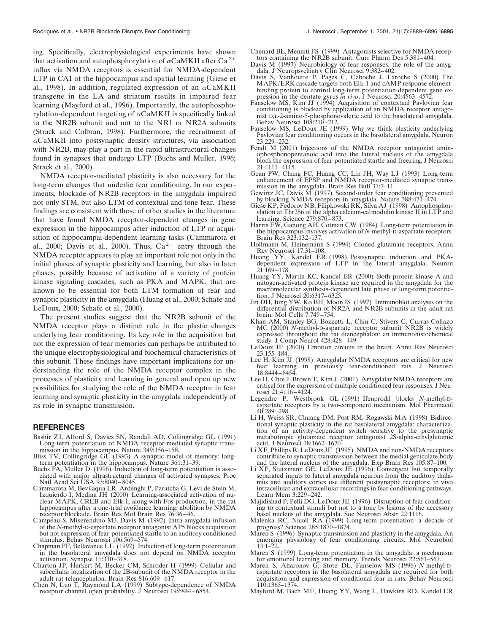ing. Specifically, electrophysiological experiments have shown that activation and autophosphorylation of  $\alpha$ CaMKII after Ca<sup>2+</sup> influx via NMDA receptors is essential for NMDA-dependent LTP in CA1 of the hippocampus and spatial learning (Giese et al., 1998). In addition, regulated expression of an  $\alpha$ CaMKII transgene in the LA and striatum results in impaired fear learning (Mayford et al., 1996). Importantly, the autophosphorylation-dependent targeting of  $\alpha$ CaMKII is specifically linked to the NR2B subunit and not to the NR1 or NR2A subunits (Strack and Colbran, 1998). Furthermore, the recruitment of  $\alpha$ CaMKII into postsynaptic density structures, via association with NR2B, may play a part in the rapid ultrastructural changes found in synapses that undergo LTP (Buchs and Muller, 1996; Strack et al., 2000).

NMDA receptor-mediated plasticity is also necessary for the long-term changes that underlie fear conditioning. In our experiments, blockade of NR2B receptors in the amygdala impaired not only STM, but also LTM of contextual and tone fear. These findings are consistent with those of other studies in the literature that have found NMDA receptor-dependent changes in gene expression in the hippocampus after induction of LTP or acquisition of hippocampal-dependent learning tasks (Cammarota et al., 2000; Davis et al., 2000). Thus,  $Ca^{2+}$  entry through the NMDA receptor appears to play an important role not only in the initial phases of synaptic plasticity and learning, but also in later phases, possibly because of activation of a variety of protein kinase signaling cascades, such as PKA and MAPK, that are known to be essential for both LTM formation of fear and synaptic plasticity in the amygdala (Huang et al., 2000; Schafe and LeDoux, 2000; Schafe et al., 2000).

The present studies suggest that the NR2B subunit of the NMDA receptor plays a distinct role in the plastic changes underlying fear conditioning. Its key role in the acquisition but not the expression of fear memories can perhaps be attributed to the unique electrophysiological and biochemical characteristics of this subunit. These findings have important implications for understanding the role of the NMDA receptor complex in the processes of plasticity and learning in general and open up new possibilities for studying the role of the NMDA receptor in fear learning and synaptic plasticity in the amygdala independently of its role in synaptic transmission.

#### **REFERENCES**

- Bashir ZI, Alford S, Davies SN, Randall AD, Collingridge GL (1991) Long-term potentiation of NMDA receptor-mediated synaptic transmission in the hippocampus. Nature 349:156–158.
- Bliss TV, Collingridge GL (1993) A synaptic model of memory: longterm potentiation in the hippocampus. Nature 361:31–39.
- Buchs PA, Muller D (1996) Induction of long-term potentiation is associated with major ultrastructural changes of activated synapses. Proc Natl Acad Sci USA 93:8040–8045.
- Cammarota M, Bevilaqua LR, Ardenghi P, Paratcha G, Levi de Stein M, Izquierdo I, Medina JH (2000) Learning-associated activation of nuclear MAPK, CREB and Elk-1, along with Fos production, in the rat hippocampus after a one-trial avoidance learning: abolition by NMDA receptor blockade. Brain Res Mol Brain Res 76:36–46.
- Campeau S, Miserendino MJ, Davis M (1992) Intra-amygdala infusion of the *N*-methyl-D-aspartate receptor antagonist AP5 blocks acquisition but not expression of fear-potentiated startle to an auditory conditioned stimulus. Behav Neurosci 106:569–574.
- Chapman PF, Bellavance LL (1992) Induction of long-term potentiation in the basolateral amygdala does not depend on NMDA receptor activation. Synapse 11:310–318.
- Charton JP, Herkert M, Becker CM, Schroder H (1999) Cellular and subcellular localization of the 2B-subunit of the NMDA receptor in the adult rat telencephalon. Brain Res 816:609–617.
- Chen N, Luo T, Raymond LA (1999) Subtype-dependence of NMDA receptor channel open probability. J Neurosci 19:6844–6854.
- Chenard BL, Menniti FS (1999) Antagonists selective for NMDA receptors containing the NR2B subunit. Curr Pharm Des 5:381–404.
- Davis M (1997) Neurobiology of fear responses: the role of the amygdala. J Neuropsychiatry Clin Neurosci 9:382–402.
- Davis S, Vanhoutte P, Pages C, Caboche J, Laroche S (2000) The MAPK/ERK cascade targets both Elk-1 and cAMP response elementbinding protein to control long-term potentiation-dependent gene ex-pression in the dentate gyrus *in vivo*. J Neurosci 20:4563–4572.
- Fanselow MS, Kim JJ (1994) Acquisition of contextual Pavlovian fear conditioning is blocked by application of an NMDA receptor antagonist D,L-2-amino-5-phosphonovaleric acid to the basolateral amygdala. Behav Neurosci 108:210–212.
- Fanselow MS, LeDoux JE (1999) Why we think plasticity underlying Pavlovian fear conditioning occurs in the basolateral amygdala. Neuron 23:229–232.
- Fendt M (2001) Injections of the NMDA receptor antagonist aminophosphonopentanoic acid into the lateral nucleus of the amygdala block the expression of fear-potentiated startle and freezing. J Neurosci 21:4111–4115.
- Gean PW, Chang FC, Huang CC, Lin JH, Way LJ (1993) Long-term enhancement of EPSP and NMDA receptor-mediated synaptic transmission in the amygdala. Brain Res Bull 31:7–11.
- Gewirtz JC, Davis  $\check{M}$  (1997) Second-order fear conditioning prevented by blocking NMDA receptors in amygdala. Nature 388:471–474.
- Giese KP, Fedorov NB, Filipkowski RK, Silva AJ (1998) Autophosphorylation at Thr286 of the alpha calcium-calmodulin kinase II in LTP and learning. Science 279:870–873.
- Harris EW, Ganong AH, Cotman CW (1984) Long-term potentiation in the hippocampus involves activation of *N*-methyl-D-aspartate receptors. Brain Res 323:132–137.
- Hollmann M, Heinemann S (1994) Cloned glutamate receptors. Annu Rev Neurosci 17:31–108.
- Huang YY, Kandel ER (1998) Postsynaptic induction and PKAdependent expression of LTP in the lateral amygdala. Neuron 21:169–178.
- Huang YY, Martin KC, Kandel ER (2000) Both protein kinase A and mitogen-activated protein kinase are required in the amygdala for the macromolecular synthesis-dependent late phase of long-term potentiation. J Neurosci 20:6317–6325.
- Jin DH, Jung YW, Ko BH, Moon IS (1997) Immunoblot analyses on the differential distribution of NR2A and NR2B subunits in the adult rat brain. Mol Cells 7:749–754.
- Khan AM, Stanley BG, Bozzetti L, Chin C, Stivers C, Curras-Collazo MC (2000) *N*-methyl-D-aspartate receptor subunit NR2B is widely expressed throughout the rat diencephalon: an immunohistochemical study. J Comp Neurol 428:428–449.
- LeDoux JE (2000) Emotion circuits in the brain. Annu Rev Neurosci 23:155–184.
- Lee H, Kim JJ (1998) Amygdalar NMDA receptors are critical for new learning in previously fear-conditioned rats. J Neurosci 18:8444–8454.
- Lee H, Choi J, Brown T, Kim J (2001) Amygdalar NMDA receptors are critical for the expression of multiple conditioned fear responses. J Neurosci 21:4116–4124.
- Legendre P, Westbrook GL (1991) Ifenprodil blocks *N*-methyl-Daspartate receptors by a two-component mechanism. Mol Pharmacol 40:289–298.
- Li H, Weiss SR, Chuang DM, Post RM, Rogawski MA (1998) Bidirectional synaptic plasticity in the rat basolateral amygdala: characterization of an activity-dependent switch sensitive to the presynaptic metabotropic glutamate receptor antagonist 2S-alpha-ethylglutamic acid. J Neurosci 18:1662–1670.
- Li XF, Phillips R, LeDoux JE (1995) NMDA and non-NMDA receptors contribute to synaptic transmission between the medial geniculate body and the lateral nucleus of the amygdala. Exp Brain Res 105:87–100.
- Li XF, Stutzmann GE, LeDoux JE (1996) Convergent but temporally separated inputs to lateral amygdala neurons from the auditory thalamus and auditory cortex use different postsynaptic receptors: in vivo intracellular and extracellular recordings in fear conditioning pathways. Learn Mem 3:229–242.
- Majidishad P, Pelli DG, LeDoux JE (1996) Disruption of fear conditioning to contextual stimuli but not to a tone by lesions of the accessory basal nucleus of the amygdala. Soc Neurosci Abstr 22:1116.
- Malenka RC, Nicoll RA (1999) Long-term potentiation–a decade of progress? Science 285:1870–1874.
- Maren S (1996) Synaptic transmission and plasticity in the amygdala. An emerging physiology of fear conditioning circuits. Mol Neurobiol 13:1–22.
- Maren S (1999) Long-term potentiation in the amygdala: a mechanism for emotional learning and memory. Trends Neurosci 22:561–567. Maren S, Aharonov G, Stote DL, Fanselow MS (1996) *N*-methyl-D-
- aspartate receptors in the basolateral amygdala are required for both acquisition and expression of conditional fear in rats. Behav Neurosci 110:1365–1374.
- Mayford M, Bach ME, Huang YY, Wang L, Hawkins RD, Kandel ER